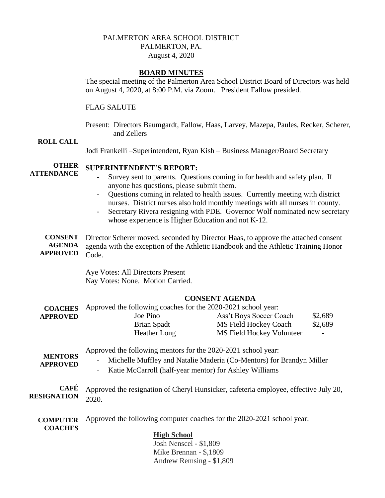# PALMERTON AREA SCHOOL DISTRICT PALMERTON, PA. August 4, 2020

## **BOARD MINUTES**

The special meeting of the Palmerton Area School District Board of Directors was held on August 4, 2020, at 8:00 P.M. via Zoom. President Fallow presided.

## FLAG SALUTE

Present: Directors Baumgardt, Fallow, Haas, Larvey, Mazepa, Paules, Recker, Scherer, and Zellers

#### **ROLL CALL**

Jodi Frankelli –Superintendent, Ryan Kish – Business Manager/Board Secretary

#### **OTHER SUPERINTENDENT'S REPORT:**

**ATTENDANCE**

- Survey sent to parents. Questions coming in for health and safety plan. If anyone has questions, please submit them.
- Questions coming in related to health issues. Currently meeting with district nurses. District nurses also hold monthly meetings with all nurses in county.
- Secretary Rivera resigning with PDE. Governor Wolf nominated new secretary whose experience is Higher Education and not K-12.
- **CONSENT AGENDA APPROVED** Director Scherer moved, seconded by Director Haas, to approve the attached consent agenda with the exception of the Athletic Handbook and the Athletic Training Honor Code.

Aye Votes: All Directors Present Nay Votes: None. Motion Carried.

## **CONSENT AGENDA**

| <b>COACHES</b>  | Approved the following coaches for the 2020-2021 school year: |                           |                          |  |
|-----------------|---------------------------------------------------------------|---------------------------|--------------------------|--|
| <b>APPROVED</b> | Joe Pino                                                      | Ass't Boys Soccer Coach   | \$2,689                  |  |
|                 | Brian Spadt                                                   | MS Field Hockey Coach     | \$2,689                  |  |
|                 | Heather Long                                                  | MS Field Hockey Volunteer | $\overline{\phantom{a}}$ |  |
|                 |                                                               |                           |                          |  |

Approved the following mentors for the 2020-2021 school year:

- **MENTORS APPROVED** - Michelle Muffley and Natalie Maderia (Co-Mentors) for Brandyn Miller
	- Katie McCarroll (half-year mentor) for Ashley Williams

**CAFÉ RESIGNATION** Approved the resignation of Cheryl Hunsicker, cafeteria employee, effective July 20, 2020.

**COMPUTER COACHES** Approved the following computer coaches for the 2020-2021 school year:

#### **High School**

Josh Nenscel - \$1,809 Mike Brennan - \$,1809 Andrew Remsing - \$1,809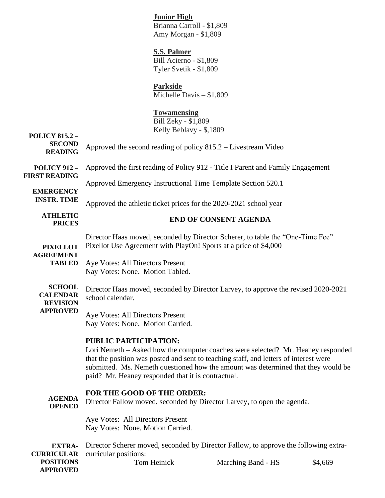# **Junior High**

Brianna Carroll - \$1,809 Amy Morgan - \$1,809

## **S.S. Palmer**

Bill Acierno - \$1,809 Tyler Svetik - \$1,809

# **Parkside**

Michelle Davis – \$1,809

# **Towamensing**

Bill Zeky - \$1,809 Kelly Beblavy - \$,1809

### **POLICY 815.2 – SECOND READING POLICY 912 – FIRST READING EMERGENCY INSTR. TIME ATHLETIC PRICES PIXELLOT AGREEMENT TABLED** Aye Votes: All Directors Present **SCHOOL CALENDAR REVISION APPROVED** Approved the second reading of policy 815.2 – Livestream Video Approved the first reading of Policy 912 - Title I Parent and Family Engagement Approved Emergency Instructional Time Template Section 520.1 Approved the athletic ticket prices for the 2020-2021 school year **END OF CONSENT AGENDA** Director Haas moved, seconded by Director Scherer, to table the "One-Time Fee" Pixellot Use Agreement with PlayOn! Sports at a price of \$4,000 Nay Votes: None. Motion Tabled. Director Haas moved, seconded by Director Larvey, to approve the revised 2020-2021 school calendar. Aye Votes: All Directors Present Nay Votes: None. Motion Carried. **PUBLIC PARTICIPATION:**  Lori Nemeth – Asked how the computer coaches were selected? Mr. Heaney responded that the position was posted and sent to teaching staff, and letters of interest were submitted. Ms. Nemeth questioned how the amount was determined that they would be paid? Mr. Heaney responded that it is contractual. **FOR THE GOOD OF THE ORDER:**

**AGENDA OPENED** Director Fallow moved, seconded by Director Larvey, to open the agenda.

> Aye Votes: All Directors Present Nay Votes: None. Motion Carried.

**EXTRA-CURRICULAR POSITIONS APPROVED** Director Scherer moved, seconded by Director Fallow, to approve the following extracurricular positions: Tom Heinick Marching Band - HS \$4,669